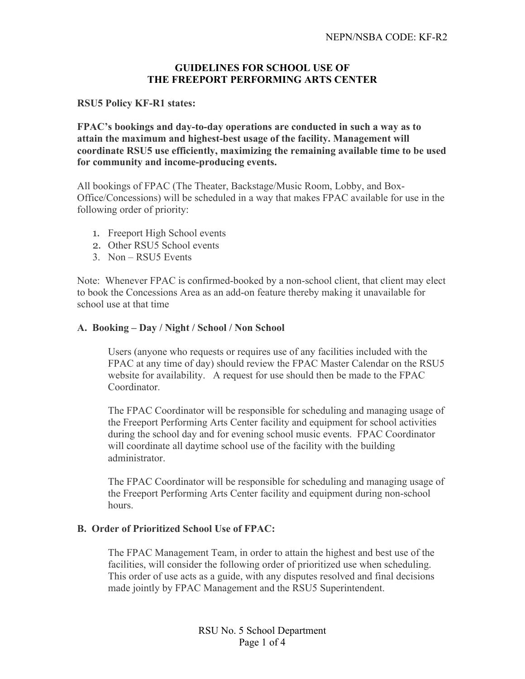## **GUIDELINES FOR SCHOOL USE OF THE FREEPORT PERFORMING ARTS CENTER**

#### **RSU5 Policy KF-R1 states:**

**FPAC's bookings and day-to-day operations are conducted in such a way as to attain the maximum and highest-best usage of the facility. Management will coordinate RSU5 use efficiently, maximizing the remaining available time to be used for community and income-producing events.**

All bookings of FPAC (The Theater, Backstage/Music Room, Lobby, and Box-Office/Concessions) will be scheduled in a way that makes FPAC available for use in the following order of priority:

- 1. Freeport High School events
- 2. Other RSU5 School events
- 3. Non RSU5 Events

Note: Whenever FPAC is confirmed-booked by a non-school client, that client may elect to book the Concessions Area as an add-on feature thereby making it unavailable for school use at that time

## **A. Booking – Day / Night / School / Non School**

Users (anyone who requests or requires use of any facilities included with the FPAC at any time of day) should review the FPAC Master Calendar on the RSU5 website for availability. A request for use should then be made to the FPAC Coordinator.

The FPAC Coordinator will be responsible for scheduling and managing usage of the Freeport Performing Arts Center facility and equipment for school activities during the school day and for evening school music events. FPAC Coordinator will coordinate all daytime school use of the facility with the building administrator.

The FPAC Coordinator will be responsible for scheduling and managing usage of the Freeport Performing Arts Center facility and equipment during non-school hours.

#### **B. Order of Prioritized School Use of FPAC:**

The FPAC Management Team, in order to attain the highest and best use of the facilities, will consider the following order of prioritized use when scheduling. This order of use acts as a guide, with any disputes resolved and final decisions made jointly by FPAC Management and the RSU5 Superintendent.

> RSU No. 5 School Department Page 1 of 4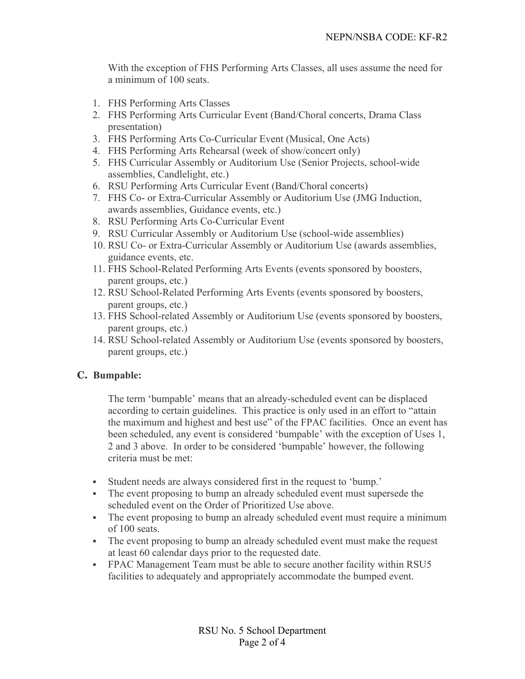With the exception of FHS Performing Arts Classes, all uses assume the need for a minimum of 100 seats.

- 1. FHS Performing Arts Classes
- 2. FHS Performing Arts Curricular Event (Band/Choral concerts, Drama Class presentation)
- 3. FHS Performing Arts Co-Curricular Event (Musical, One Acts)
- 4. FHS Performing Arts Rehearsal (week of show/concert only)
- 5. FHS Curricular Assembly or Auditorium Use (Senior Projects, school-wide assemblies, Candlelight, etc.)
- 6. RSU Performing Arts Curricular Event (Band/Choral concerts)
- 7. FHS Co- or Extra-Curricular Assembly or Auditorium Use (JMG Induction, awards assemblies, Guidance events, etc.)
- 8. RSU Performing Arts Co-Curricular Event
- 9. RSU Curricular Assembly or Auditorium Use (school-wide assemblies)
- 10. RSU Co- or Extra-Curricular Assembly or Auditorium Use (awards assemblies, guidance events, etc.
- 11. FHS School-Related Performing Arts Events (events sponsored by boosters, parent groups, etc.)
- 12. RSU School-Related Performing Arts Events (events sponsored by boosters, parent groups, etc.)
- 13. FHS School-related Assembly or Auditorium Use (events sponsored by boosters, parent groups, etc.)
- 14. RSU School-related Assembly or Auditorium Use (events sponsored by boosters, parent groups, etc.)

# **C. Bumpable:**

The term 'bumpable' means that an already-scheduled event can be displaced according to certain guidelines. This practice is only used in an effort to "attain the maximum and highest and best use" of the FPAC facilities. Once an event has been scheduled, any event is considered 'bumpable' with the exception of Uses 1, 2 and 3 above. In order to be considered 'bumpable' however, the following criteria must be met:

- § Student needs are always considered first in the request to 'bump.'
- The event proposing to bump an already scheduled event must supersede the scheduled event on the Order of Prioritized Use above.
- The event proposing to bump an already scheduled event must require a minimum of 100 seats.
- The event proposing to bump an already scheduled event must make the request at least 60 calendar days prior to the requested date.
- § FPAC Management Team must be able to secure another facility within RSU5 facilities to adequately and appropriately accommodate the bumped event.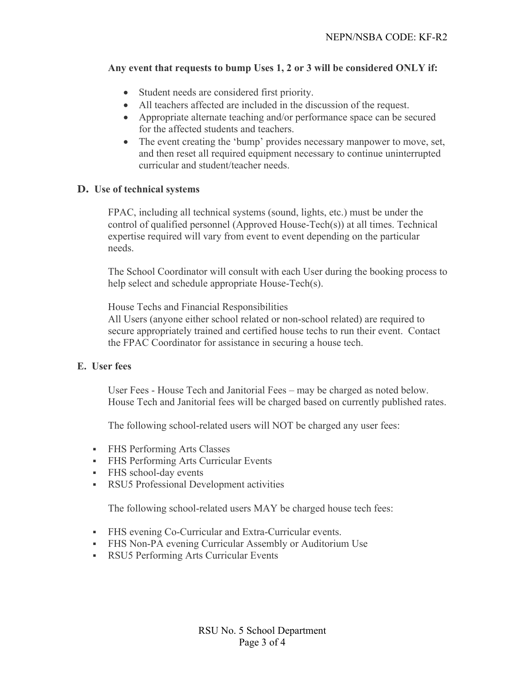## **Any event that requests to bump Uses 1, 2 or 3 will be considered ONLY if:**

- Student needs are considered first priority.
- All teachers affected are included in the discussion of the request.
- Appropriate alternate teaching and/or performance space can be secured for the affected students and teachers.
- The event creating the 'bump' provides necessary manpower to move, set, and then reset all required equipment necessary to continue uninterrupted curricular and student/teacher needs.

# **D. Use of technical systems**

FPAC, including all technical systems (sound, lights, etc.) must be under the control of qualified personnel (Approved House-Tech(s)) at all times. Technical expertise required will vary from event to event depending on the particular needs.

The School Coordinator will consult with each User during the booking process to help select and schedule appropriate House-Tech(s).

House Techs and Financial Responsibilities

All Users (anyone either school related or non-school related) are required to secure appropriately trained and certified house techs to run their event. Contact the FPAC Coordinator for assistance in securing a house tech.

#### **E. User fees**

User Fees - House Tech and Janitorial Fees – may be charged as noted below. House Tech and Janitorial fees will be charged based on currently published rates.

The following school-related users will NOT be charged any user fees:

- § FHS Performing Arts Classes
- § FHS Performing Arts Curricular Events
- § FHS school-day events
- § RSU5 Professional Development activities

The following school-related users MAY be charged house tech fees:

- FHS evening Co-Curricular and Extra-Curricular events.
- FHS Non-PA evening Curricular Assembly or Auditorium Use
- § RSU5 Performing Arts Curricular Events